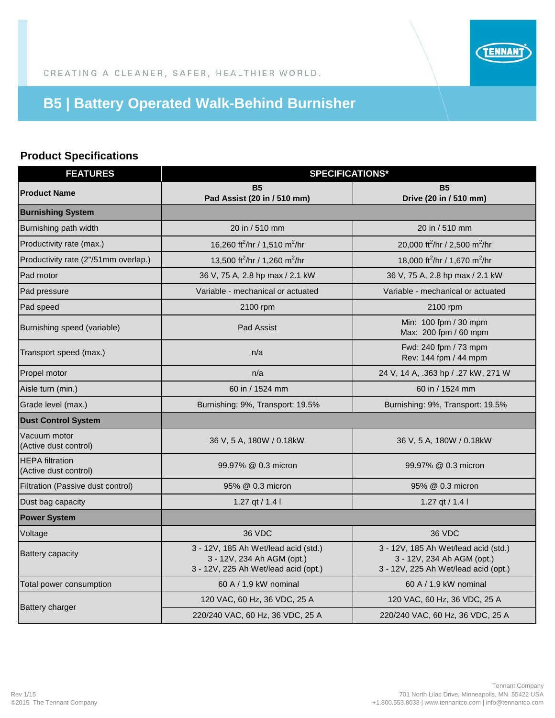

CREATING A CLEANER, SAFER, HEALTHIER WORLD.

## **B5 | Battery Operated Walk-Behind Burnisher**

## **Product Specifications**

| <b>FEATURES</b>                                 | <b>SPECIFICATIONS*</b>                                                                                     |                                                                                                            |  |
|-------------------------------------------------|------------------------------------------------------------------------------------------------------------|------------------------------------------------------------------------------------------------------------|--|
| <b>Product Name</b>                             | <b>B5</b><br>Pad Assist (20 in / 510 mm)                                                                   | <b>B5</b><br>Drive (20 in / 510 mm)                                                                        |  |
| <b>Burnishing System</b>                        |                                                                                                            |                                                                                                            |  |
| Burnishing path width                           | 20 in / 510 mm                                                                                             | 20 in / 510 mm                                                                                             |  |
| Productivity rate (max.)                        | 16,260 ft <sup>2</sup> /hr / 1,510 m <sup>2</sup> /hr                                                      | 20,000 ft <sup>2</sup> /hr / 2,500 m <sup>2</sup> /hr                                                      |  |
| Productivity rate (2"/51mm overlap.)            | 13,500 ft <sup>2</sup> /hr / 1,260 m <sup>2</sup> /hr                                                      | 18,000 ft <sup>2</sup> /hr / 1,670 m <sup>2</sup> /hr                                                      |  |
| Pad motor                                       | 36 V, 75 A, 2.8 hp max / 2.1 kW                                                                            | 36 V, 75 A, 2.8 hp max / 2.1 kW                                                                            |  |
| Pad pressure                                    | Variable - mechanical or actuated                                                                          | Variable - mechanical or actuated                                                                          |  |
| Pad speed                                       | 2100 rpm                                                                                                   | 2100 rpm                                                                                                   |  |
| Burnishing speed (variable)                     | Pad Assist                                                                                                 | Min: 100 fpm / 30 mpm<br>Max: 200 fpm / 60 mpm                                                             |  |
| Transport speed (max.)                          | n/a                                                                                                        | Fwd: 240 fpm / 73 mpm<br>Rev: 144 fpm / 44 mpm                                                             |  |
| Propel motor                                    | n/a                                                                                                        | 24 V, 14 A, .363 hp / .27 kW, 271 W                                                                        |  |
| Aisle turn (min.)                               | 60 in / 1524 mm                                                                                            | 60 in / 1524 mm                                                                                            |  |
| Grade level (max.)                              | Burnishing: 9%, Transport: 19.5%                                                                           | Burnishing: 9%, Transport: 19.5%                                                                           |  |
| <b>Dust Control System</b>                      |                                                                                                            |                                                                                                            |  |
| Vacuum motor<br>(Active dust control)           | 36 V, 5 A, 180W / 0.18kW                                                                                   | 36 V, 5 A, 180W / 0.18kW                                                                                   |  |
| <b>HEPA</b> filtration<br>(Active dust control) | 99.97% @ 0.3 micron                                                                                        | 99.97% @ 0.3 micron                                                                                        |  |
| Filtration (Passive dust control)               | 95% @ 0.3 micron                                                                                           | 95% @ 0.3 micron                                                                                           |  |
| Dust bag capacity                               | 1.27 $qt / 1.41$                                                                                           | 1.27 $qt / 1.41$                                                                                           |  |
| <b>Power System</b>                             |                                                                                                            |                                                                                                            |  |
| Voltage                                         | 36 VDC                                                                                                     | 36 VDC                                                                                                     |  |
| <b>Battery capacity</b>                         | 3 - 12V, 185 Ah Wet/lead acid (std.)<br>3 - 12V, 234 Ah AGM (opt.)<br>3 - 12V, 225 Ah Wet/lead acid (opt.) | 3 - 12V, 185 Ah Wet/lead acid (std.)<br>3 - 12V, 234 Ah AGM (opt.)<br>3 - 12V, 225 Ah Wet/lead acid (opt.) |  |
| Total power consumption                         | 60 A / 1.9 kW nominal                                                                                      | 60 A / 1.9 kW nominal                                                                                      |  |
| <b>Battery charger</b>                          | 120 VAC, 60 Hz, 36 VDC, 25 A                                                                               | 120 VAC, 60 Hz, 36 VDC, 25 A                                                                               |  |
|                                                 | 220/240 VAC, 60 Hz, 36 VDC, 25 A                                                                           | 220/240 VAC, 60 Hz, 36 VDC, 25 A                                                                           |  |